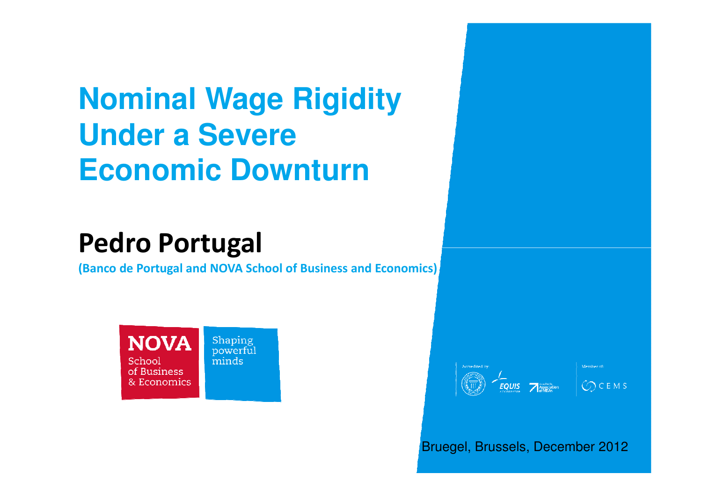# **Nominal Wage Rigidity Under a Severe Economic Downturn**

# Pedro Portugal

(Banco de Portugal and NOVA School of Business and Economics)





Bruegel, Brussels, December 2012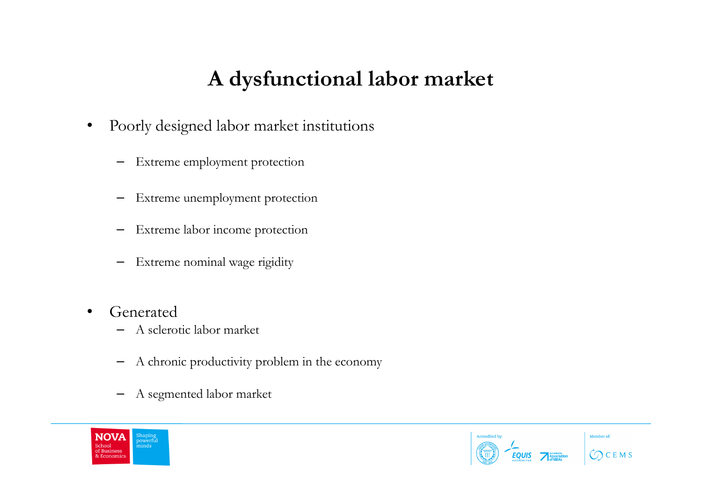## A dysfunctional labor market

- $\bullet$  Poorly designed labor market institutions
	- –Extreme employment protection
	- –Extreme unemployment protection
	- –Extreme labor income protection
	- –Extreme nominal wage rigidity
- • Generated
	- A sclerotic labor market –
	- –A chronic productivity problem in the economy
	- –A segmented labor market



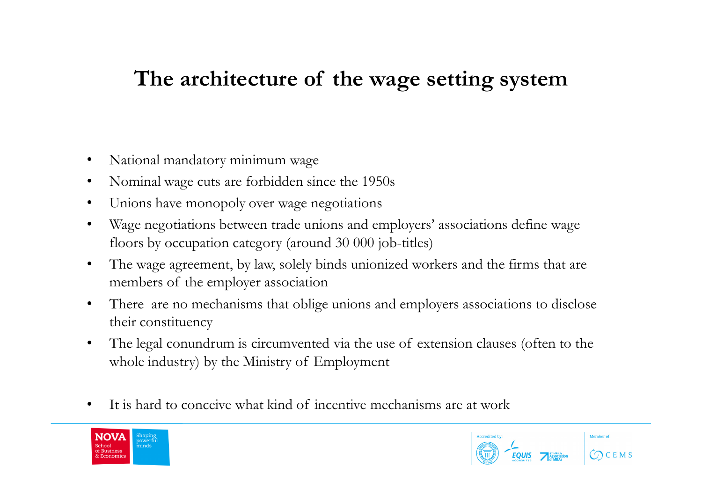## The architecture of the wage setting system

- $\bullet$ National mandatory minimum wage
- $\bullet$ Nominal wage cuts are forbidden since the 1950s
- $\bullet$ Unions have monopoly over wage negotiations
- $\bullet$  Wage negotiations between trade unions and employers' associations define wage floors by occupation category (around 30 000 job-titles)
- $\bullet$  The wage agreement, by law, solely binds unionized workers and the firms that are members of the employer association
- $\bullet$  There are no mechanisms that oblige unions and employers associations to disclose their constituency
- $\bullet$  The legal conundrum is circumvented via the use of extension clauses (often to the whole industry) by the Ministry of Employment
- $\bullet$ It is hard to conceive what kind of incentive mechanisms are at work



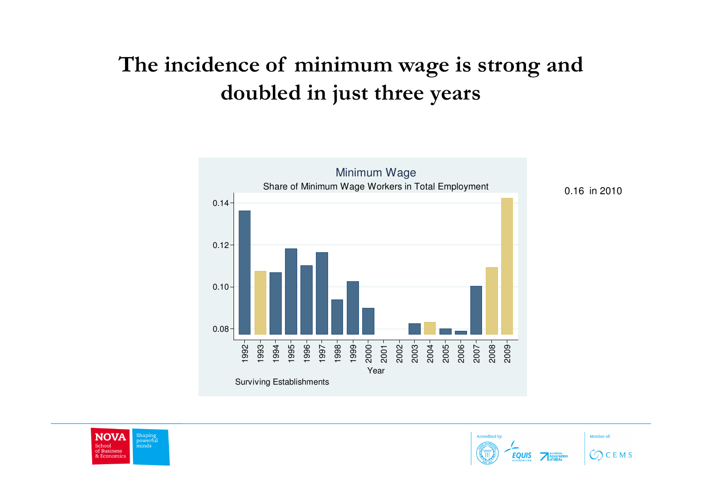## The incidence of minimum wage is strong and doubled in just three years





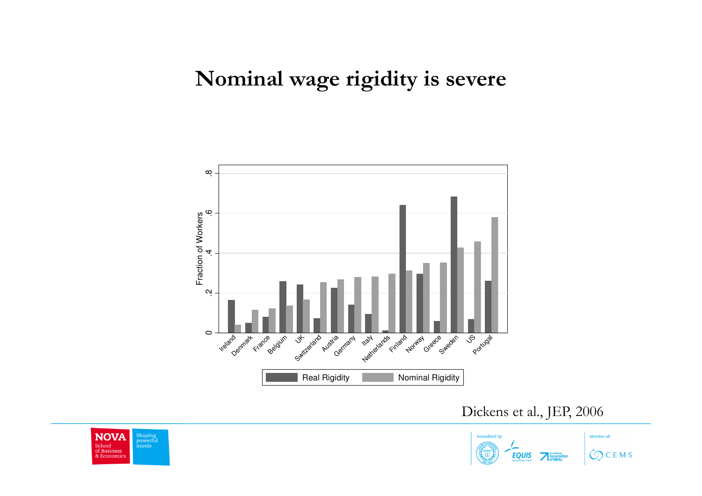## Nominal wage rigidity is severe



Dickens et al., JEP, 2006



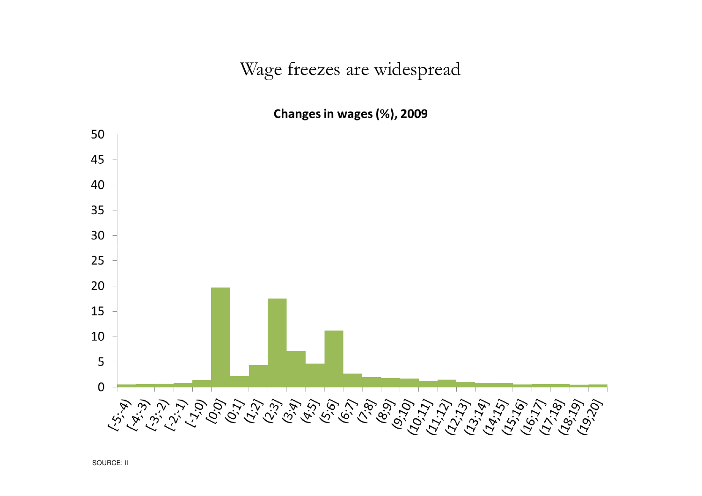Wage freezes are widespread

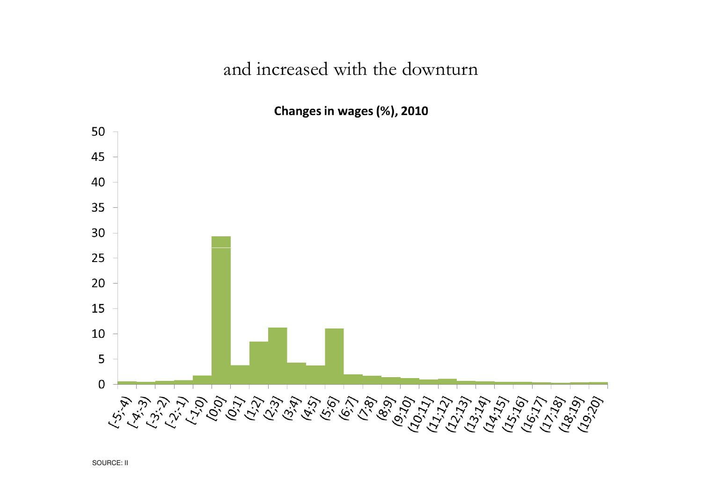### and increased with the downturn

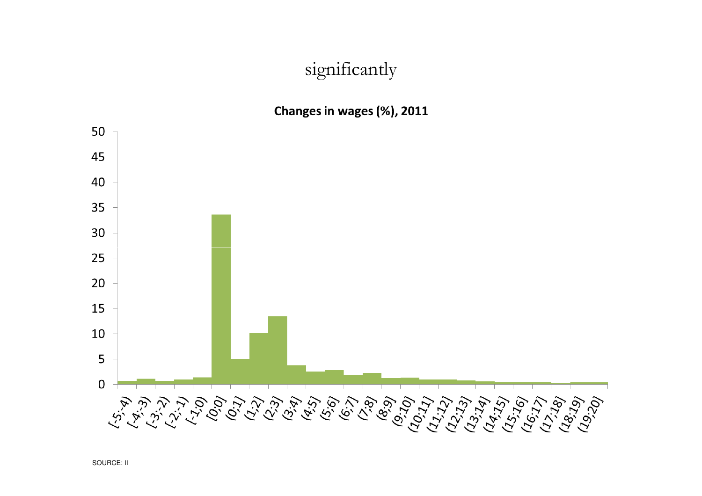### significantly

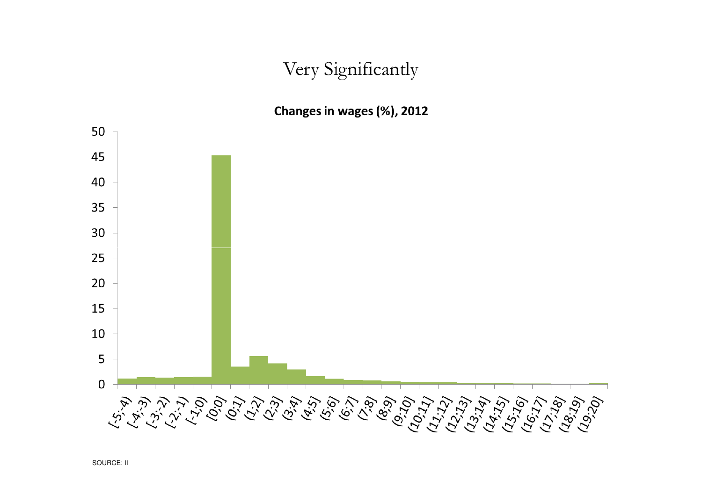### Very Significantly

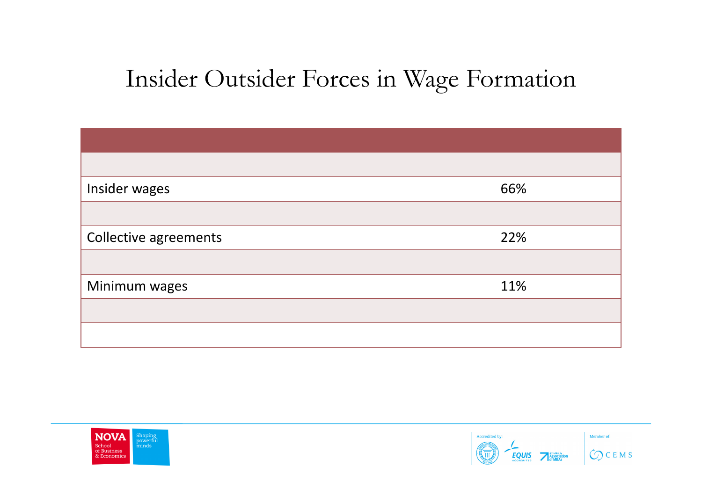# Insider Outsider Forces in Wage Formation

| Insider wages                | 66% |
|------------------------------|-----|
|                              |     |
| <b>Collective agreements</b> | 22% |
|                              |     |
| Minimum wages                | 11% |
|                              |     |
|                              |     |



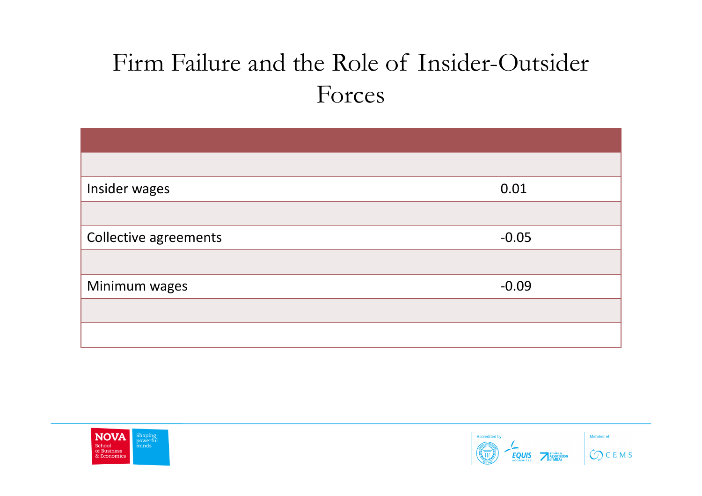# Firm Failure and the Role of Insider-Outsider Forces

| Insider wages                | 0.01    |
|------------------------------|---------|
|                              |         |
| <b>Collective agreements</b> | $-0.05$ |
|                              |         |
| Minimum wages                | $-0.09$ |
|                              |         |
|                              |         |



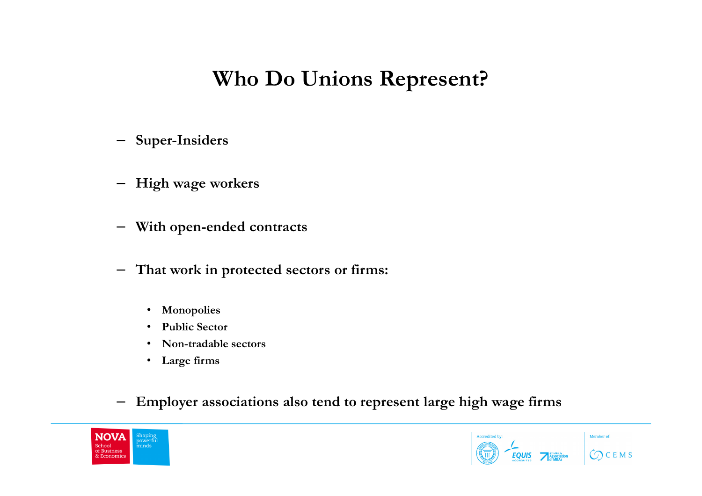### Who Do Unions Represent?

- Super-Insiders
- High wage workers
- –With open-ended contracts
- That work in protected sectors or firms:
	- Monopolies
	- •Public Sector
	- $\bullet$ Non-tradable sectors
	- Large firms
- Employer associations also tend to represent large high wage firms



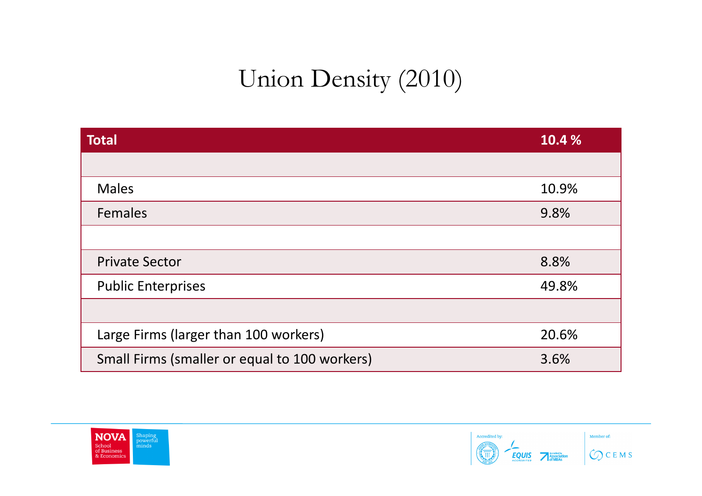# Union Density (2010)

| <b>Total</b>                                  | 10.4 % |
|-----------------------------------------------|--------|
|                                               |        |
| <b>Males</b>                                  | 10.9%  |
| Females                                       | 9.8%   |
|                                               |        |
| <b>Private Sector</b>                         | 8.8%   |
| <b>Public Enterprises</b>                     | 49.8%  |
|                                               |        |
| Large Firms (larger than 100 workers)         | 20.6%  |
| Small Firms (smaller or equal to 100 workers) | 3.6%   |



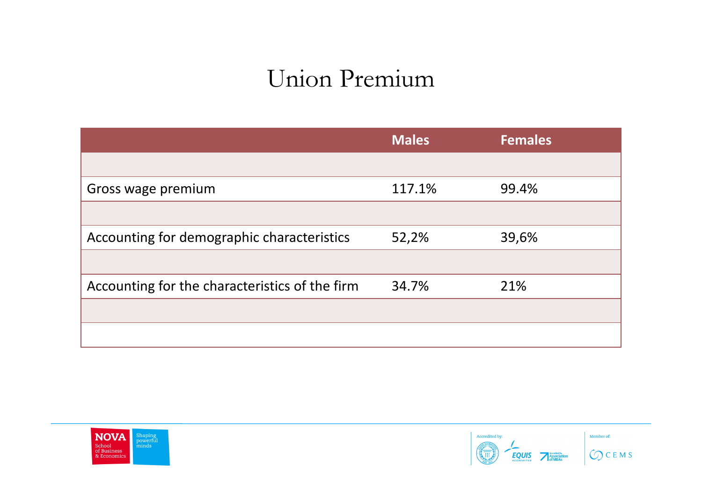# Union Premium

|                                                | <b>Males</b> | Females |
|------------------------------------------------|--------------|---------|
|                                                |              |         |
| Gross wage premium                             | 117.1%       | 99.4%   |
|                                                |              |         |
| Accounting for demographic characteristics     | 52,2%        | 39,6%   |
|                                                |              |         |
| Accounting for the characteristics of the firm | 34.7%        | 21%     |
|                                                |              |         |
|                                                |              |         |



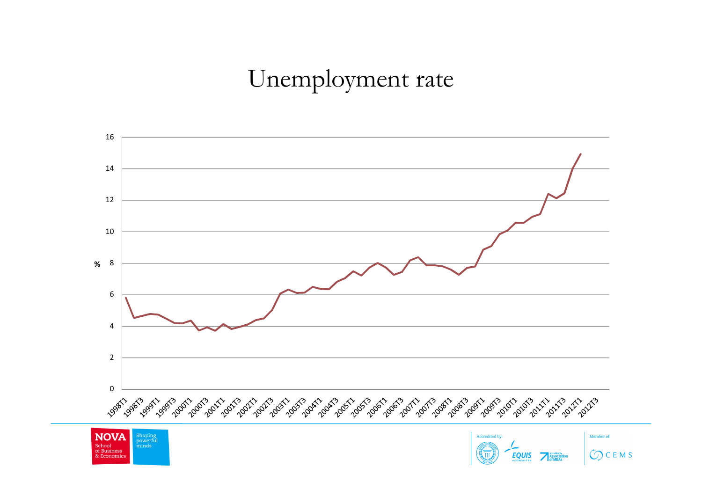# Unemployment rate

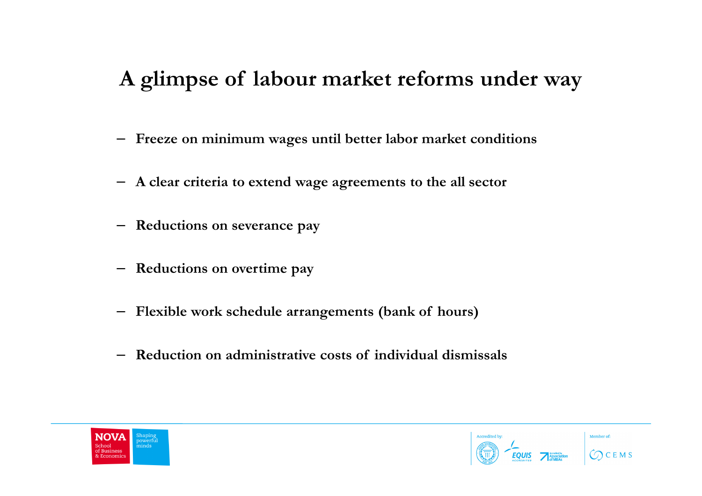## A glimpse of labour market reforms under way

- Freeze on minimum wages until better labor market conditions
- A clear criteria to extend wage agreements to the all sector
- Reductions on severance pay
- Reductions on overtime pay
- Flexible work schedule arrangements (bank of hours)
- Reduction on administrative costs of individual dismissals



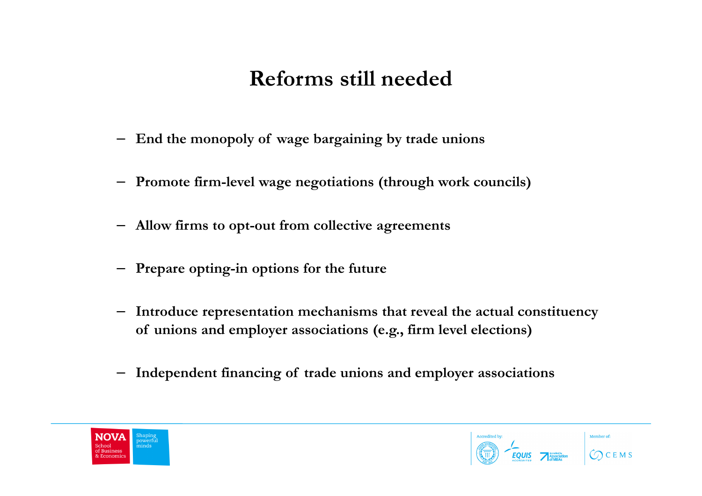## Reforms still needed

- End the monopoly of wage bargaining by trade unions
- Promote firm-level wage negotiations (through work councils)
- Allow firms to opt-out from collective agreements
- Prepare opting-in options for the future
- Introduce representation mechanisms that reveal the actual constituency of unions and employer associations (e.g., firm level elections)
- Independent financing of trade unions and employer associations